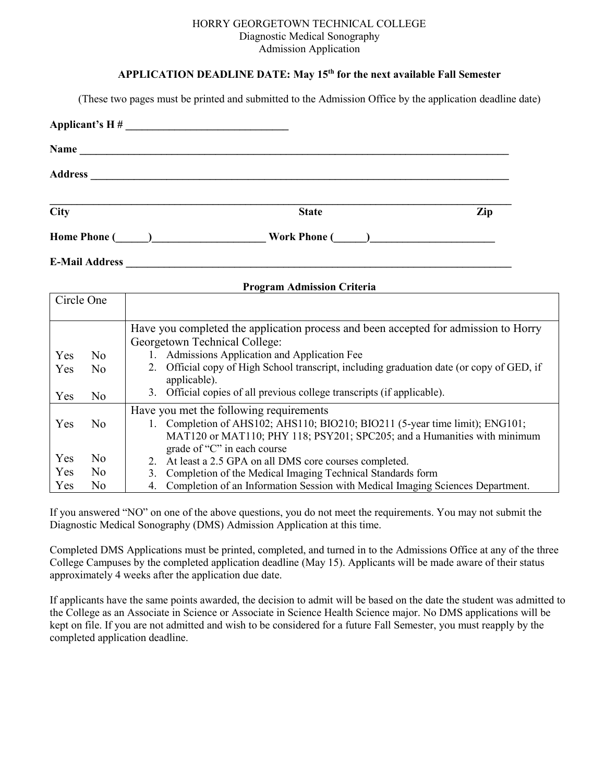#### HORRY GEORGETOWN TECHNICAL COLLEGE Diagnostic Medical Sonography Admission Application

### **APPLICATION DEADLINE DATE: May 15 th for the next available Fall Semester**

(These two pages must be printed and submitted to the Admission Office by the application deadline date)

| $\overline{City}$                                                                                                                                                                                                             | <b>State</b>                         | Zip |
|-------------------------------------------------------------------------------------------------------------------------------------------------------------------------------------------------------------------------------|--------------------------------------|-----|
| Home Phone (Department of the Phone Company of the Phone Company of the Company of the Company of the Company of the Company of the Company of the Company of the Company of the Company of the Company of the Company of the |                                      |     |
|                                                                                                                                                                                                                               | E-Mail Address <b>E-Mail Address</b> |     |

| <b>Program Admission Criteria</b> |                |                                                                                        |  |  |  |
|-----------------------------------|----------------|----------------------------------------------------------------------------------------|--|--|--|
| Circle One                        |                |                                                                                        |  |  |  |
|                                   |                |                                                                                        |  |  |  |
|                                   |                | Have you completed the application process and been accepted for admission to Horry    |  |  |  |
|                                   |                | Georgetown Technical College:                                                          |  |  |  |
| Yes                               | N <sub>0</sub> | Admissions Application and Application Fee                                             |  |  |  |
| Yes                               | N <sub>0</sub> | Official copy of High School transcript, including graduation date (or copy of GED, if |  |  |  |
|                                   |                | applicable).                                                                           |  |  |  |
| Yes                               | N <sub>0</sub> | Official copies of all previous college transcripts (if applicable).<br>$3_{-}$        |  |  |  |
|                                   |                | Have you met the following requirements                                                |  |  |  |
| Yes                               | N <sub>0</sub> | 1. Completion of AHS102; AHS110; BIO210; BIO211 (5-year time limit); ENG101;           |  |  |  |
|                                   |                | MAT120 or MAT110; PHY 118; PSY201; SPC205; and a Humanities with minimum               |  |  |  |
|                                   |                | grade of "C" in each course                                                            |  |  |  |
| Yes                               | N <sub>0</sub> | 2. At least a 2.5 GPA on all DMS core courses completed.                               |  |  |  |
| Yes                               | N <sub>0</sub> | Completion of the Medical Imaging Technical Standards form<br>3.                       |  |  |  |
| Yes                               | N <sub>0</sub> | Completion of an Information Session with Medical Imaging Sciences Department.<br>4.   |  |  |  |

If you answered "NO" on one of the above questions, you do not meet the requirements. You may not submit the Diagnostic Medical Sonography (DMS) Admission Application at this time.

Completed DMS Applications must be printed, completed, and turned in to the Admissions Office at any of the three College Campuses by the completed application deadline (May 15). Applicants will be made aware of their status approximately 4 weeks after the application due date.

If applicants have the same points awarded, the decision to admit will be based on the date the student was admitted to the College as an Associate in Science or Associate in Science Health Science major. No DMS applications will be kept on file. If you are not admitted and wish to be considered for a future Fall Semester, you must reapply by the completed application deadline.